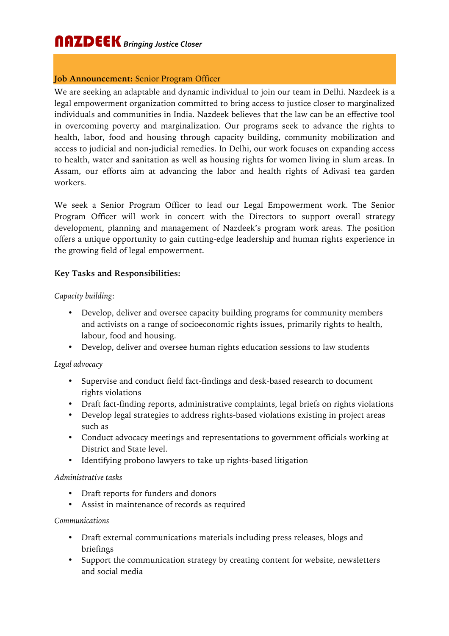## **Job Announcement:** Senior Program Officer

We are seeking an adaptable and dynamic individual to join our team in Delhi. Nazdeek is a legal empowerment organization committed to bring access to justice closer to marginalized individuals and communities in India. Nazdeek believes that the law can be an effective tool in overcoming poverty and marginalization. Our programs seek to advance the rights to health, labor, food and housing through capacity building, community mobilization and access to judicial and non-judicial remedies. In Delhi, our work focuses on expanding access to health, water and sanitation as well as housing rights for women living in slum areas. In Assam, our efforts aim at advancing the labor and health rights of Adivasi tea garden workers.

We seek a Senior Program Officer to lead our Legal Empowerment work. The Senior Program Officer will work in concert with the Directors to support overall strategy development, planning and management of Nazdeek's program work areas. The position offers a unique opportunity to gain cutting-edge leadership and human rights experience in the growing field of legal empowerment.

## **Key Tasks and Responsibilities:**

#### *Capacity building*:

- Develop, deliver and oversee capacity building programs for community members and activists on a range of socioeconomic rights issues, primarily rights to health, labour, food and housing.
- Develop, deliver and oversee human rights education sessions to law students

#### *Legal advocacy*

- Supervise and conduct field fact-findings and desk-based research to document rights violations
- Draft fact-finding reports, administrative complaints, legal briefs on rights violations
- Develop legal strategies to address rights-based violations existing in project areas such as
- Conduct advocacy meetings and representations to government officials working at District and State level.
- Identifying probono lawyers to take up rights-based litigation

#### *Administrative tasks*

- Draft reports for funders and donors
- Assist in maintenance of records as required

#### *Communications*

- Draft external communications materials including press releases, blogs and briefings
- Support the communication strategy by creating content for website, newsletters and social media